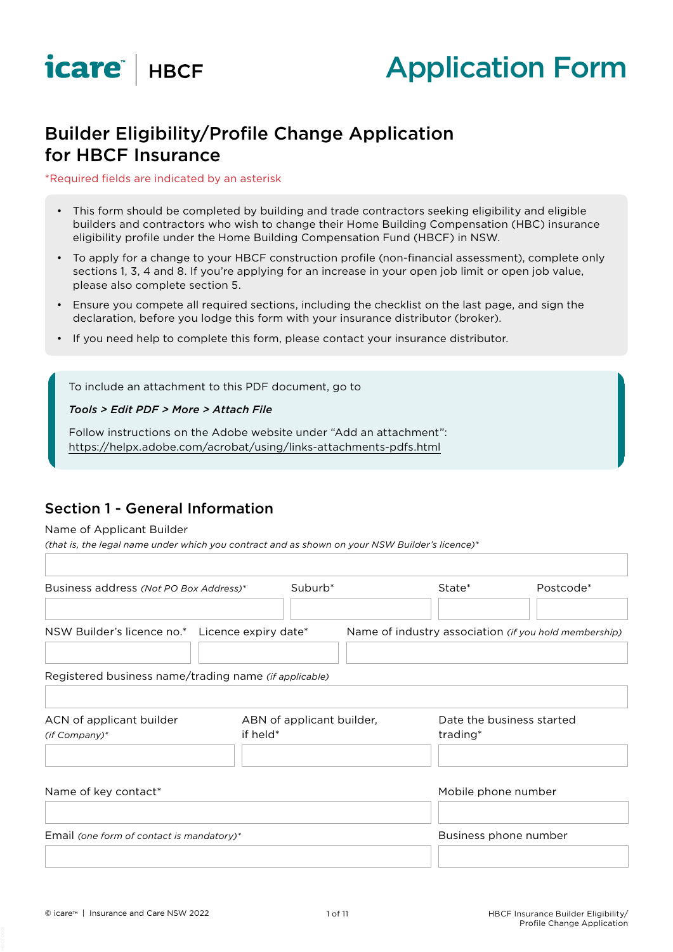



# Builder Eligibility/Profile Change Application for HBCF Insurance

#### \*Required fields are indicated by an asterisk

- This form should be completed by building and trade contractors seeking eligibility and eligible builders and contractors who wish to change their Home Building Compensation (HBC) insurance eligibility profile under the Home Building Compensation Fund (HBCF) in NSW.
- To apply for a change to your HBCF construction profile (non-financial assessment), complete only sections 1, 3, 4 and 8. If you're applying for an increase in your open job limit or open job value, please also complete section 5.
- Ensure you compete all required sections, including the checklist on the last page, and sign the declaration, before you lodge this form with your insurance distributor (broker).
- If you need help to complete this form, please contact your insurance distributor.

To include an attachment to this PDF document, go to

#### *Tools > Edit PDF > More > Attach File*

Follow instructions on the Adobe website under "Add an attachment": https://helpx.adobe.com/acrobat/using/links-attachments-pdfs.html

## Section 1 - General Information

#### Name of Applicant Builder

*(that is, the legal name under which you contract and as shown on your NSW Builder's licence)\**

| Business address (Not PO Box Address)*                | Suburb <sup>*</sup>                   | State*                                                | Postcode*                 |
|-------------------------------------------------------|---------------------------------------|-------------------------------------------------------|---------------------------|
| NSW Builder's licence no.* Licence expiry date*       |                                       | Name of industry association (if you hold membership) |                           |
| Registered business name/trading name (if applicable) |                                       |                                                       |                           |
| ACN of applicant builder<br>$(if Company)*$           | ABN of applicant builder,<br>if held* | trading*                                              | Date the business started |
| Name of key contact*                                  |                                       | Mobile phone number                                   |                           |
| Email (one form of contact is mandatory)*             |                                       | Business phone number                                 |                           |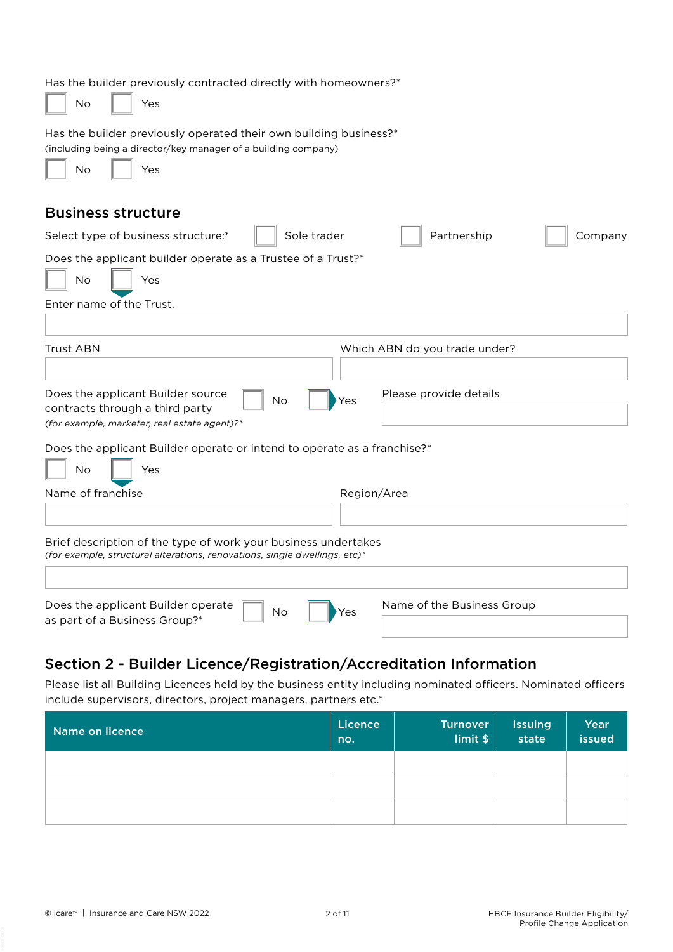| Has the builder previously contracted directly with homeowners?*<br>No<br>Yes                                                                           |
|---------------------------------------------------------------------------------------------------------------------------------------------------------|
| Has the builder previously operated their own building business?*<br>(including being a director/key manager of a building company)<br><b>No</b><br>Yes |
| <b>Business structure</b>                                                                                                                               |
| Partnership<br>Select type of business structure:*<br>Sole trader<br>Company                                                                            |
| Does the applicant builder operate as a Trustee of a Trust?*                                                                                            |
| No<br>Yes                                                                                                                                               |
| Enter name of the Trust.                                                                                                                                |
|                                                                                                                                                         |
| <b>Trust ABN</b><br>Which ABN do you trade under?                                                                                                       |
|                                                                                                                                                         |
| Does the applicant Builder source<br>Please provide details<br><b>No</b><br>Yes                                                                         |
| contracts through a third party<br>(for example, marketer, real estate agent)?*                                                                         |
| Does the applicant Builder operate or intend to operate as a franchise?*                                                                                |
| <b>No</b><br>Yes                                                                                                                                        |
| Name of franchise<br>Region/Area                                                                                                                        |
|                                                                                                                                                         |
| Brief description of the type of work your business undertakes<br>(for example, structural alterations, renovations, single dwellings, etc)*            |
| Name of the Business Group<br>Does the applicant Builder operate<br>No<br>Yes<br>as part of a Business Group?*                                          |

# Section 2 - Builder Licence/Registration/Accreditation Information

Please list all Building Licences held by the business entity including nominated officers. Nominated officers include supervisors, directors, project managers, partners etc.\*

| Name on licence | Licence<br>no. | <b>Turnover</b><br>limit \$ | <b>Issuing</b><br>state | Year<br>issued |
|-----------------|----------------|-----------------------------|-------------------------|----------------|
|                 |                |                             |                         |                |
|                 |                |                             |                         |                |
|                 |                |                             |                         |                |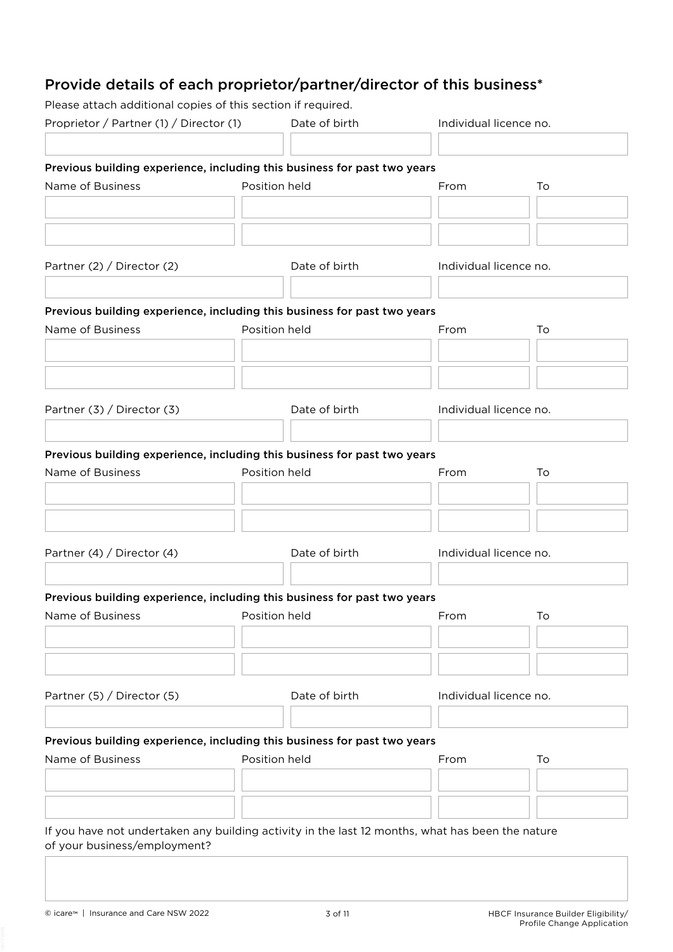# Provide details of each proprietor/partner/director of this business\*

Please attach additional copies of this section if required.

| Proprietor / Partner (1) / Director (1)                                                                                          |               | Date of birth | Individual licence no. |                        |  |
|----------------------------------------------------------------------------------------------------------------------------------|---------------|---------------|------------------------|------------------------|--|
|                                                                                                                                  |               |               |                        |                        |  |
| Previous building experience, including this business for past two years                                                         |               |               |                        |                        |  |
| Name of Business                                                                                                                 | Position held |               | From                   | To                     |  |
|                                                                                                                                  |               |               |                        |                        |  |
|                                                                                                                                  |               |               |                        |                        |  |
|                                                                                                                                  |               |               |                        |                        |  |
| Partner (2) / Director (2)                                                                                                       |               | Date of birth | Individual licence no. |                        |  |
| Previous building experience, including this business for past two years                                                         |               |               |                        |                        |  |
| Name of Business                                                                                                                 |               | Position held | From                   | To                     |  |
|                                                                                                                                  |               |               |                        |                        |  |
|                                                                                                                                  |               |               |                        |                        |  |
|                                                                                                                                  |               |               |                        |                        |  |
| Partner $(3) /$ Director $(3)$                                                                                                   |               | Date of birth | Individual licence no. |                        |  |
|                                                                                                                                  |               |               |                        |                        |  |
| Previous building experience, including this business for past two years                                                         |               |               |                        |                        |  |
| Name of Business                                                                                                                 |               | Position held | From                   | To                     |  |
|                                                                                                                                  |               |               |                        |                        |  |
|                                                                                                                                  |               |               |                        |                        |  |
|                                                                                                                                  |               |               |                        |                        |  |
| Partner (4) / Director (4)                                                                                                       |               | Date of birth |                        | Individual licence no. |  |
|                                                                                                                                  |               |               |                        |                        |  |
| Previous building experience, including this business for past two years                                                         |               |               |                        |                        |  |
| Name of Business <b>Name of Business</b> Position held                                                                           |               |               | From                   | To                     |  |
|                                                                                                                                  |               |               |                        |                        |  |
|                                                                                                                                  |               |               |                        |                        |  |
|                                                                                                                                  |               |               |                        |                        |  |
| Partner (5) / Director (5)                                                                                                       |               | Date of birth | Individual licence no. |                        |  |
|                                                                                                                                  |               |               |                        |                        |  |
| Previous building experience, including this business for past two years                                                         |               |               |                        |                        |  |
| Name of Business                                                                                                                 |               | Position held | From                   | To                     |  |
|                                                                                                                                  |               |               |                        |                        |  |
|                                                                                                                                  |               |               |                        |                        |  |
|                                                                                                                                  |               |               |                        |                        |  |
| If you have not undertaken any building activity in the last 12 months, what has been the nature<br>of your business/employment? |               |               |                        |                        |  |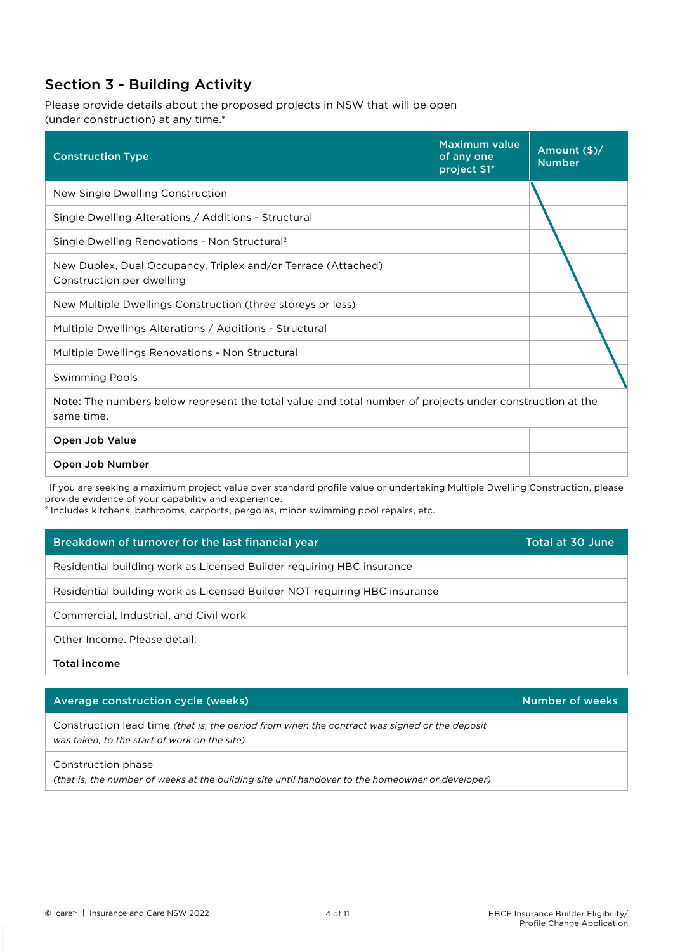# Section 3 - Building Activity

Please provide details about the proposed projects in NSW that will be open (under construction) at any time.\*

| <b>Construction Type</b>                                                                                               | <b>Maximum value</b><br>of any one<br>project \$1* | Amount (\$)/<br><b>Number</b> |
|------------------------------------------------------------------------------------------------------------------------|----------------------------------------------------|-------------------------------|
| New Single Dwelling Construction                                                                                       |                                                    |                               |
| Single Dwelling Alterations / Additions - Structural                                                                   |                                                    |                               |
| Single Dwelling Renovations - Non Structural <sup>2</sup>                                                              |                                                    |                               |
| New Duplex, Dual Occupancy, Triplex and/or Terrace (Attached)<br>Construction per dwelling                             |                                                    |                               |
| New Multiple Dwellings Construction (three storeys or less)                                                            |                                                    |                               |
| Multiple Dwellings Alterations / Additions - Structural                                                                |                                                    |                               |
| Multiple Dwellings Renovations - Non Structural                                                                        |                                                    |                               |
| <b>Swimming Pools</b>                                                                                                  |                                                    |                               |
| Note: The numbers below represent the total value and total number of projects under construction at the<br>same time. |                                                    |                               |
| Open Job Value                                                                                                         |                                                    |                               |

#### Open Job Number

1 If you are seeking a maximum project value over standard profile value or undertaking Multiple Dwelling Construction, please provide evidence of your capability and experience.

2 Includes kitchens, bathrooms, carports, pergolas, minor swimming pool repairs, etc.

| Breakdown of turnover for the last financial year                         | Total at 30 June |
|---------------------------------------------------------------------------|------------------|
| Residential building work as Licensed Builder requiring HBC insurance     |                  |
| Residential building work as Licensed Builder NOT requiring HBC insurance |                  |
| Commercial, Industrial, and Civil work                                    |                  |
| Other Income. Please detail:                                              |                  |
| <b>Total income</b>                                                       |                  |

| Average construction cycle (weeks)                                                                                                           | Number of weeks |
|----------------------------------------------------------------------------------------------------------------------------------------------|-----------------|
| Construction lead time (that is, the period from when the contract was signed or the deposit<br>was taken, to the start of work on the site) |                 |
| Construction phase<br>(that is, the number of weeks at the building site until handover to the homeowner or developer)                       |                 |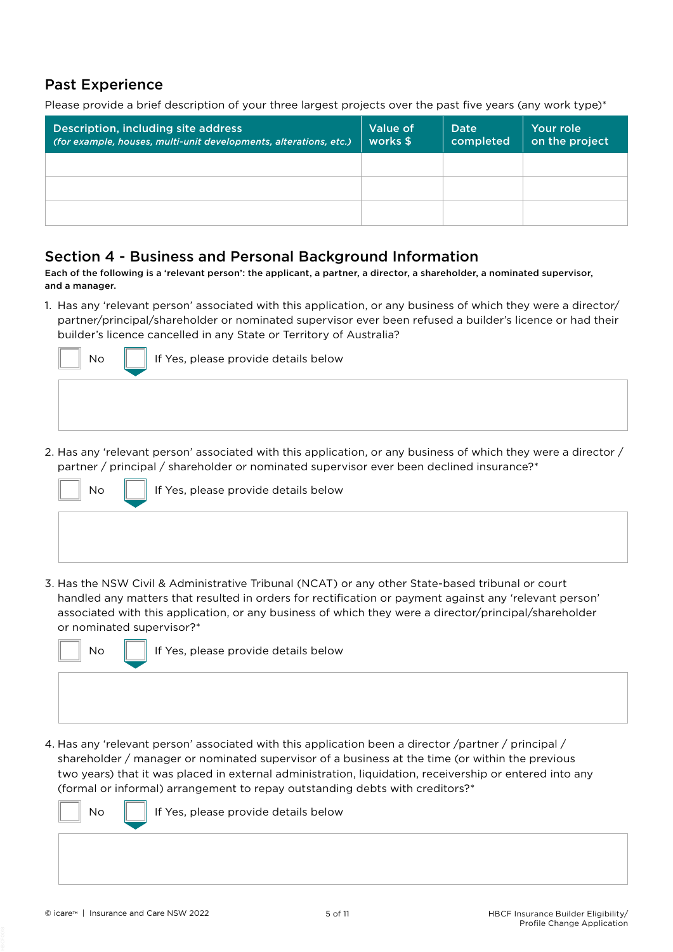## Past Experience

Please provide a brief description of your three largest projects over the past five years (any work type)\*

| Description, including site address<br>(for example, houses, multi-unit developments, alterations, etc.) | Value of<br>works \$ | Date<br>completed | Your role<br>on the project |
|----------------------------------------------------------------------------------------------------------|----------------------|-------------------|-----------------------------|
|                                                                                                          |                      |                   |                             |
|                                                                                                          |                      |                   |                             |
|                                                                                                          |                      |                   |                             |

## Section 4 - Business and Personal Background Information

Each of the following is a 'relevant person': the applicant, a partner, a director, a shareholder, a nominated supervisor, and a manager.

1. Has any 'relevant person' associated with this application, or any business of which they were a director/ partner/principal/shareholder or nominated supervisor ever been refused a builder's licence or had their builder's licence cancelled in any State or Territory of Australia?



2. Has any 'relevant person' associated with this application, or any business of which they were a director / partner / principal / shareholder or nominated supervisor ever been declined insurance?\*



3. Has the NSW Civil & Administrative Tribunal (NCAT) or any other State-based tribunal or court handled any matters that resulted in orders for rectification or payment against any 'relevant person' associated with this application, or any business of which they were a director/principal/shareholder or nominated supervisor?\*



 $\mathsf{No} \parallel \mathsf{I}$  If Yes, please provide details below

4. Has any 'relevant person' associated with this application been a director /partner / principal / shareholder / manager or nominated supervisor of a business at the time (or within the previous two years) that it was placed in external administration, liquidation, receivership or entered into any (formal or informal) arrangement to repay outstanding debts with creditors?\*

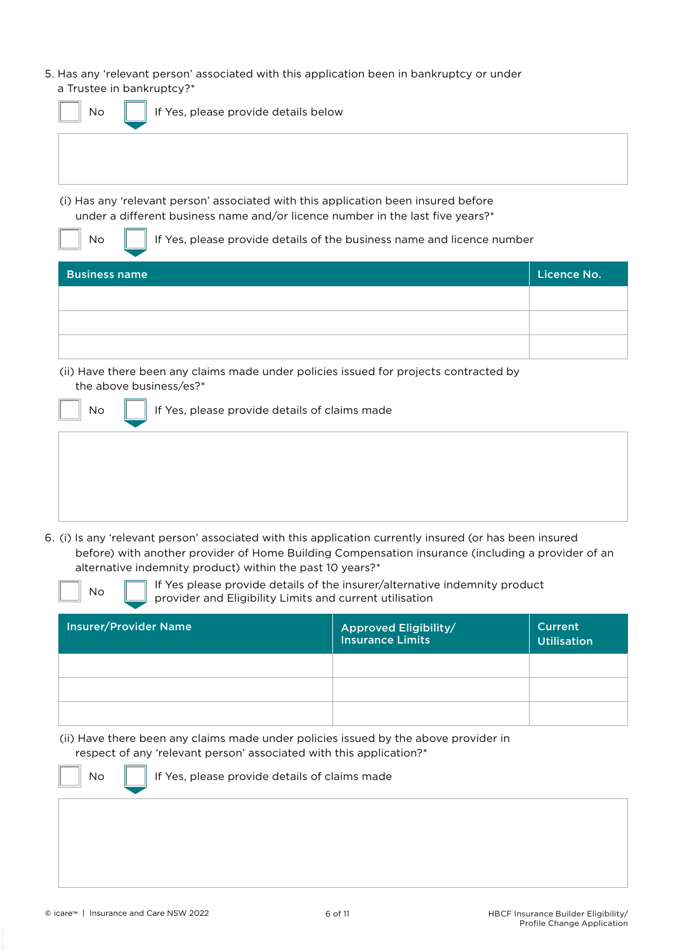5. Has any 'relevant person' associated with this application been in bankruptcy or under a Trustee in bankruptcy?\*

| No                   | If Yes, please provide details below                                                                                                                                 |             |
|----------------------|----------------------------------------------------------------------------------------------------------------------------------------------------------------------|-------------|
|                      |                                                                                                                                                                      |             |
|                      | (i) Has any 'relevant person' associated with this application been insured before<br>under a different business name and/or licence number in the last five years?* |             |
| No                   | If Yes, please provide details of the business name and licence number                                                                                               |             |
| <b>Business name</b> |                                                                                                                                                                      | Licence No. |
|                      |                                                                                                                                                                      |             |
|                      |                                                                                                                                                                      |             |
|                      |                                                                                                                                                                      |             |
|                      | (ii) Have there been any claims made under policies issued for projects contracted by<br>the above business/es?*                                                     |             |
| No                   | If Yes, please provide details of claims made                                                                                                                        |             |
|                      |                                                                                                                                                                      |             |
|                      |                                                                                                                                                                      |             |
|                      |                                                                                                                                                                      |             |
|                      |                                                                                                                                                                      |             |

6. (i) Is any 'relevant person' associated with this application currently insured (or has been insured before) with another provider of Home Building Compensation insurance (including a provider of an alternative indemnity product) within the past 10 years?\*

| <b>No</b> |  |
|-----------|--|
|           |  |

If Yes please provide details of the insurer/alternative indemnity product provider and Eligibility Limits and current utilisation

| <b>Insurer/Provider Name</b> | <b>Approved Eligibility/</b><br><b>Insurance Limits</b> | <b>Current</b><br><b>Utilisation</b> |
|------------------------------|---------------------------------------------------------|--------------------------------------|
|                              |                                                         |                                      |
|                              |                                                         |                                      |
|                              |                                                         |                                      |

(ii) Have there been any claims made under policies issued by the above provider in respect of any 'relevant person' associated with this application?\*

No  $\|\cdot\|$  If Yes, please provide details of claims made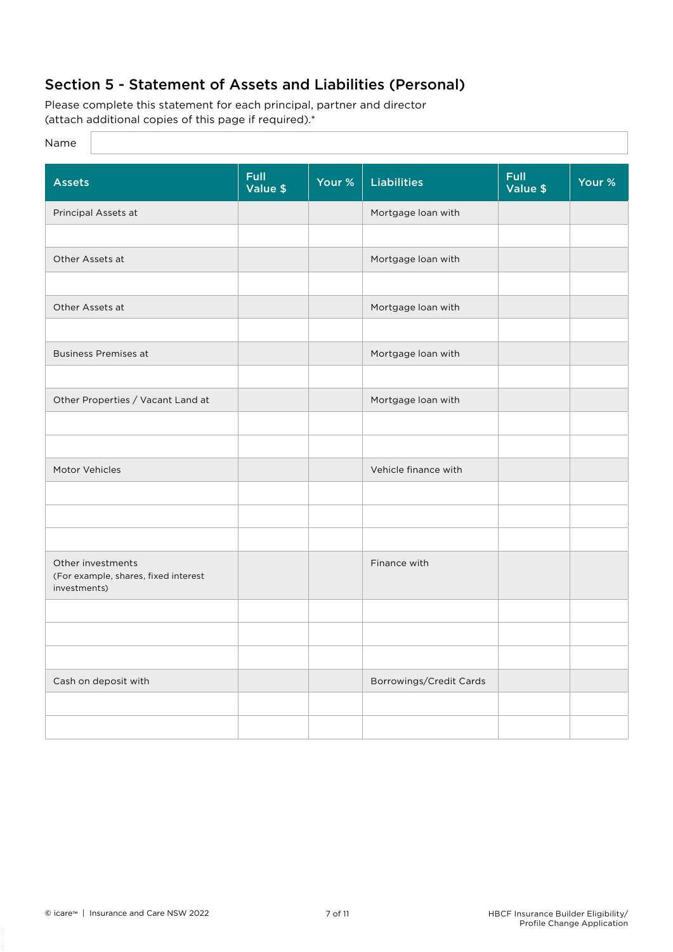# Section 5 - Statement of Assets and Liabilities (Personal)

Please complete this statement for each principal, partner and director (attach additional copies of this page if required).\*

### Name

| <b>Assets</b>                                                             | <b>Full</b><br>Value \$ | Your % | <b>Liabilities</b>      | <b>Full</b><br>Value \$ | Your % |
|---------------------------------------------------------------------------|-------------------------|--------|-------------------------|-------------------------|--------|
| Principal Assets at                                                       |                         |        | Mortgage loan with      |                         |        |
|                                                                           |                         |        |                         |                         |        |
| Other Assets at                                                           |                         |        | Mortgage loan with      |                         |        |
|                                                                           |                         |        |                         |                         |        |
|                                                                           |                         |        |                         |                         |        |
| Other Assets at                                                           |                         |        | Mortgage loan with      |                         |        |
|                                                                           |                         |        |                         |                         |        |
| <b>Business Premises at</b>                                               |                         |        | Mortgage loan with      |                         |        |
|                                                                           |                         |        |                         |                         |        |
| Other Properties / Vacant Land at                                         |                         |        | Mortgage loan with      |                         |        |
|                                                                           |                         |        |                         |                         |        |
|                                                                           |                         |        |                         |                         |        |
| Motor Vehicles                                                            |                         |        | Vehicle finance with    |                         |        |
|                                                                           |                         |        |                         |                         |        |
|                                                                           |                         |        |                         |                         |        |
|                                                                           |                         |        |                         |                         |        |
| Other investments<br>(For example, shares, fixed interest<br>investments) |                         |        | Finance with            |                         |        |
|                                                                           |                         |        |                         |                         |        |
|                                                                           |                         |        |                         |                         |        |
|                                                                           |                         |        |                         |                         |        |
| Cash on deposit with                                                      |                         |        | Borrowings/Credit Cards |                         |        |
|                                                                           |                         |        |                         |                         |        |
|                                                                           |                         |        |                         |                         |        |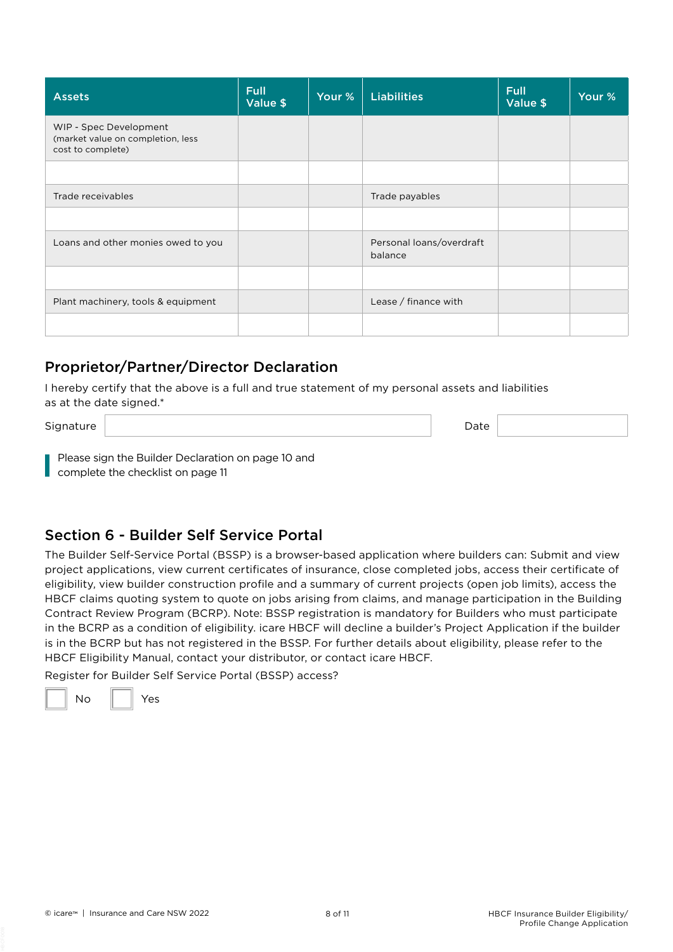| <b>Assets</b>                                                                    | <b>Full</b><br>Value \$ | Your % | <b>Liabilities</b>                  | <b>Full</b><br>Value \$ | Your % |
|----------------------------------------------------------------------------------|-------------------------|--------|-------------------------------------|-------------------------|--------|
| WIP - Spec Development<br>(market value on completion, less<br>cost to complete) |                         |        |                                     |                         |        |
|                                                                                  |                         |        |                                     |                         |        |
| Trade receivables                                                                |                         |        | Trade payables                      |                         |        |
|                                                                                  |                         |        |                                     |                         |        |
| Loans and other monies owed to you                                               |                         |        | Personal loans/overdraft<br>balance |                         |        |
|                                                                                  |                         |        |                                     |                         |        |
| Plant machinery, tools & equipment                                               |                         |        | Lease / finance with                |                         |        |
|                                                                                  |                         |        |                                     |                         |        |

## Proprietor/Partner/Director Declaration

I hereby certify that the above is a full and true statement of my personal assets and liabilities as at the date signed.\*

Signature Date **Date of the Contract of the Contract of the Contract of the Contract of the Contract of the Contract of the Contract of the Contract of the Contract of the Contract of the Contract of the Contract of the Co** 

Please sign the Builder Declaration on page 10 and complete the checklist on page 11

## Section 6 - Builder Self Service Portal

The Builder Self-Service Portal (BSSP) is a browser-based application where builders can: Submit and view project applications, view current certificates of insurance, close completed jobs, access their certificate of eligibility, view builder construction profile and a summary of current projects (open job limits), access the HBCF claims quoting system to quote on jobs arising from claims, and manage participation in the Building Contract Review Program (BCRP). Note: BSSP registration is mandatory for Builders who must participate in the BCRP as a condition of eligibility. icare HBCF will decline a builder's Project Application if the builder is in the BCRP but has not registered in the BSSP. For further details about eligibility, please refer to the HBCF Eligibility Manual, contact your distributor, or contact icare HBCF.

Register for Builder Self Service Portal (BSSP) access?

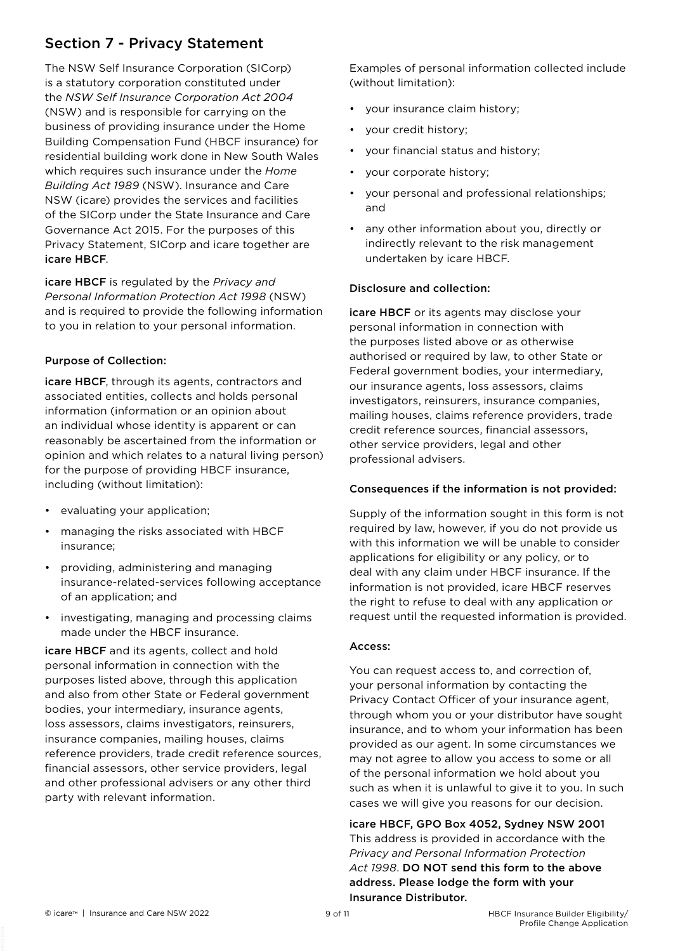# Section 7 - Privacy Statement

The NSW Self Insurance Corporation (SICorp) is a statutory corporation constituted under the *NSW Self Insurance Corporation Act 2004* (NSW) and is responsible for carrying on the business of providing insurance under the Home Building Compensation Fund (HBCF insurance) for residential building work done in New South Wales which requires such insurance under the *Home Building Act 1989* (NSW). Insurance and Care NSW (icare) provides the services and facilities of the SICorp under the State Insurance and Care Governance Act 2015. For the purposes of this Privacy Statement, SICorp and icare together are icare HBCF.

icare HBCF is regulated by the *Privacy and Personal Information Protection Act 1998* (NSW) and is required to provide the following information to you in relation to your personal information.

## Purpose of Collection:

icare HBCF, through its agents, contractors and associated entities, collects and holds personal information (information or an opinion about an individual whose identity is apparent or can reasonably be ascertained from the information or opinion and which relates to a natural living person) for the purpose of providing HBCF insurance, including (without limitation):

- evaluating your application;
- managing the risks associated with HBCF insurance;
- providing, administering and managing insurance-related-services following acceptance of an application; and
- investigating, managing and processing claims made under the HBCF insurance.

icare HBCF and its agents, collect and hold personal information in connection with the purposes listed above, through this application and also from other State or Federal government bodies, your intermediary, insurance agents, loss assessors, claims investigators, reinsurers, insurance companies, mailing houses, claims reference providers, trade credit reference sources, financial assessors, other service providers, legal and other professional advisers or any other third party with relevant information.

Examples of personal information collected include (without limitation):

- your insurance claim history;
- your credit history;
- your financial status and history;
- your corporate history;
- your personal and professional relationships; and
- any other information about you, directly or indirectly relevant to the risk management undertaken by icare HBCF.

## Disclosure and collection:

icare HBCF or its agents may disclose your personal information in connection with the purposes listed above or as otherwise authorised or required by law, to other State or Federal government bodies, your intermediary, our insurance agents, loss assessors, claims investigators, reinsurers, insurance companies, mailing houses, claims reference providers, trade credit reference sources, financial assessors, other service providers, legal and other professional advisers.

### Consequences if the information is not provided:

Supply of the information sought in this form is not required by law, however, if you do not provide us with this information we will be unable to consider applications for eligibility or any policy, or to deal with any claim under HBCF insurance. If the information is not provided, icare HBCF reserves the right to refuse to deal with any application or request until the requested information is provided.

### Access:

You can request access to, and correction of, your personal information by contacting the Privacy Contact Officer of your insurance agent, through whom you or your distributor have sought insurance, and to whom your information has been provided as our agent. In some circumstances we may not agree to allow you access to some or all of the personal information we hold about you such as when it is unlawful to give it to you. In such cases we will give you reasons for our decision.

icare HBCF, GPO Box 4052, Sydney NSW 2001 This address is provided in accordance with the *Privacy and Personal Information Protection Act 1998*. DO NOT send this form to the above address. Please lodge the form with your

Insurance Distributor.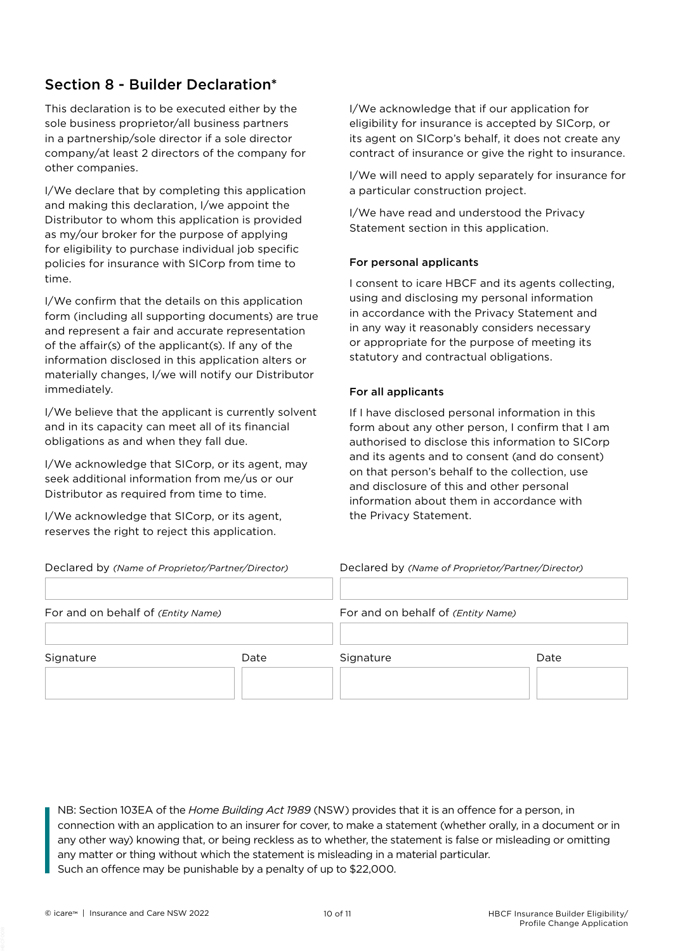# Section 8 - Builder Declaration\*

This declaration is to be executed either by the sole business proprietor/all business partners in a partnership/sole director if a sole director company/at least 2 directors of the company for other companies.

I/We declare that by completing this application and making this declaration, I/we appoint the Distributor to whom this application is provided as my/our broker for the purpose of applying for eligibility to purchase individual job specific policies for insurance with SICorp from time to time.

I/We confirm that the details on this application form (including all supporting documents) are true and represent a fair and accurate representation of the affair(s) of the applicant(s). If any of the information disclosed in this application alters or materially changes, I/we will notify our Distributor immediately.

I/We believe that the applicant is currently solvent and in its capacity can meet all of its financial obligations as and when they fall due.

I/We acknowledge that SICorp, or its agent, may seek additional information from me/us or our Distributor as required from time to time.

I/We acknowledge that SICorp, or its agent, reserves the right to reject this application.

I/We acknowledge that if our application for eligibility for insurance is accepted by SICorp, or its agent on SICorp's behalf, it does not create any contract of insurance or give the right to insurance.

I/We will need to apply separately for insurance for a particular construction project.

I/We have read and understood the Privacy Statement section in this application.

## For personal applicants

I consent to icare HBCF and its agents collecting, using and disclosing my personal information in accordance with the Privacy Statement and in any way it reasonably considers necessary or appropriate for the purpose of meeting its statutory and contractual obligations.

## For all applicants

If I have disclosed personal information in this form about any other person, I confirm that I am authorised to disclose this information to SICorp and its agents and to consent (and do consent) on that person's behalf to the collection, use and disclosure of this and other personal information about them in accordance with the Privacy Statement.

| eclared by (Name of Proprietor/Partner/Director) |  |  |  |  |
|--------------------------------------------------|--|--|--|--|

Declared by *(Name of Proprietor/Partner/Director)* Declared by *(Name of Proprietor/Partner/Director)*

| For and on behalf of (Entity Name) |      | For and on behalf of (Entity Name) |      |
|------------------------------------|------|------------------------------------|------|
| Signature                          | Date | Signature                          | Date |

NB: Section 103EA of the *Home Building Act 1989* (NSW) provides that it is an offence for a person, in connection with an application to an insurer for cover, to make a statement (whether orally, in a document or in any other way) knowing that, or being reckless as to whether, the statement is false or misleading or omitting any matter or thing without which the statement is misleading in a material particular. Such an offence may be punishable by a penalty of up to \$22,000.